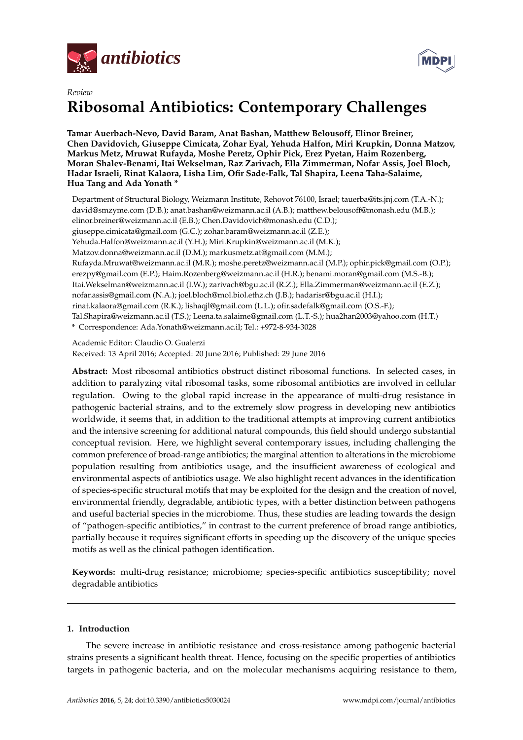

*Review*



# **Ribosomal Antibiotics: Contemporary Challenges**

**Tamar Auerbach-Nevo, David Baram, Anat Bashan, Matthew Belousoff, Elinor Breiner, Chen Davidovich, Giuseppe Cimicata, Zohar Eyal, Yehuda Halfon, Miri Krupkin, Donna Matzov, Markus Metz, Mruwat Rufayda, Moshe Peretz, Ophir Pick, Erez Pyetan, Haim Rozenberg, Moran Shalev-Benami, Itai Wekselman, Raz Zarivach, Ella Zimmerman, Nofar Assis, Joel Bloch, Hadar Israeli, Rinat Kalaora, Lisha Lim, Ofir Sade-Falk, Tal Shapira, Leena Taha-Salaime, Hua Tang and Ada Yonath \***

Department of Structural Biology, Weizmann Institute, Rehovot 76100, Israel; tauerba@its.jnj.com (T.A.-N.); david@smzyme.com (D.B.); anat.bashan@weizmann.ac.il (A.B.); matthew.belousoff@monash.edu (M.B.); elinor.breiner@weizmann.ac.il (E.B.); Chen.Davidovich@monash.edu (C.D.); giuseppe.cimicata@gmail.com (G.C.); zohar.baram@weizmann.ac.il (Z.E.); Yehuda.Halfon@weizmann.ac.il (Y.H.); Miri.Krupkin@weizmann.ac.il (M.K.); Matzov.donna@weizmann.ac.il (D.M.); markusmetz.at@gmail.com (M.M.); Rufayda.Mruwat@weizmann.ac.il (M.R.); moshe.peretz@weizmann.ac.il (M.P.); ophir.pick@gmail.com (O.P.); erezpy@gmail.com (E.P.); Haim.Rozenberg@weizmann.ac.il (H.R.); benami.moran@gmail.com (M.S.-B.); Itai.Wekselman@weizmann.ac.il (I.W.); zarivach@bgu.ac.il (R.Z.); Ella.Zimmerman@weizmann.ac.il (E.Z.); nofar.assis@gmail.com (N.A.); joel.bloch@mol.biol.ethz.ch (J.B.); hadarisr@bgu.ac.il (H.I.); rinat.kalaora@gmail.com (R.K.); lishaqjl@gmail.com (L.L.); ofir.sadefalk@gmail.com (O.S.-F.); Tal.Shapira@weizmann.ac.il (T.S.); Leena.ta.salaime@gmail.com (L.T.-S.); hua2han2003@yahoo.com (H.T.) **\*** Correspondence: Ada.Yonath@weizmann.ac.il; Tel.: +972-8-934-3028

Academic Editor: Claudio O. Gualerzi Received: 13 April 2016; Accepted: 20 June 2016; Published: 29 June 2016

**Abstract:** Most ribosomal antibiotics obstruct distinct ribosomal functions. In selected cases, in addition to paralyzing vital ribosomal tasks, some ribosomal antibiotics are involved in cellular regulation. Owing to the global rapid increase in the appearance of multi-drug resistance in pathogenic bacterial strains, and to the extremely slow progress in developing new antibiotics worldwide, it seems that, in addition to the traditional attempts at improving current antibiotics and the intensive screening for additional natural compounds, this field should undergo substantial conceptual revision. Here, we highlight several contemporary issues, including challenging the common preference of broad-range antibiotics; the marginal attention to alterations in the microbiome population resulting from antibiotics usage, and the insufficient awareness of ecological and environmental aspects of antibiotics usage. We also highlight recent advances in the identification of species-specific structural motifs that may be exploited for the design and the creation of novel, environmental friendly, degradable, antibiotic types, with a better distinction between pathogens and useful bacterial species in the microbiome. Thus, these studies are leading towards the design of "pathogen-specific antibiotics," in contrast to the current preference of broad range antibiotics, partially because it requires significant efforts in speeding up the discovery of the unique species motifs as well as the clinical pathogen identification.

**Keywords:** multi-drug resistance; microbiome; species-specific antibiotics susceptibility; novel degradable antibiotics

# **1. Introduction**

The severe increase in antibiotic resistance and cross-resistance among pathogenic bacterial strains presents a significant health threat. Hence, focusing on the specific properties of antibiotics targets in pathogenic bacteria, and on the molecular mechanisms acquiring resistance to them,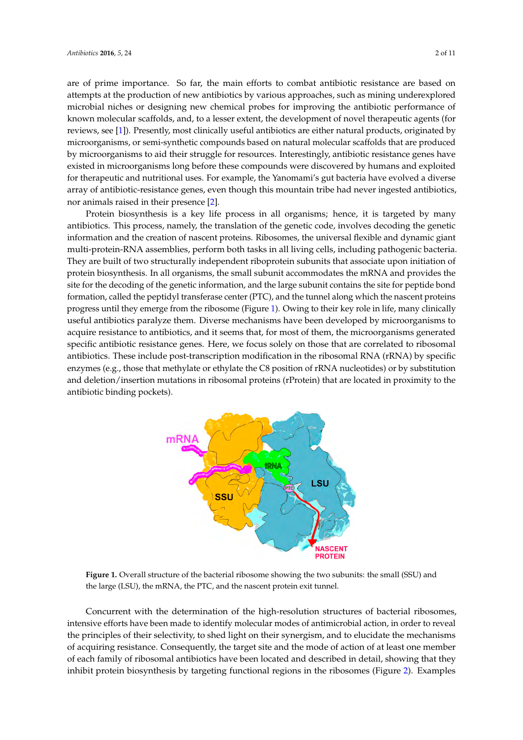are of prime importance. So far, the main efforts to combat antibiotic resistance are based on attempts at the production of new antibiotics by various approaches, such as mining underexplored microbial niches or designing new chemical probes for improving the antibiotic performance of known molecular scaffolds, and, to a lesser extent, the development of novel therapeutic agents (for reviews, see [\[1\]](#page-8-0)). Presently, most clinically useful antibiotics are either natural products, originated by Presently, most clinically useful antibiotics are either natural products, originated by microorganisms, or semi-synthetic compounds based on natural molecular scaffolds that are produced microorganisms, or semi-synthetic compounds based on natural molecular scaffolds that are by microorganisms to aid their struggle for resources. Interestingly, antibiotic resistance genes have existed in microorganisms long before these compounds were discovered by humans and exploited for therapeutic and nutritional uses. For example, the Yanomami's gut bacteria have evolved a diverse array of antibiotic-resistance genes, even though this mountain tribe had never ingested antibiotics,

nor animals raised in their presence  $[2]$ . Protein biosynthesis is a key life process in all organisms; hence, it is targeted by many Protein biosynthesis is a key life process in all organisms; hence, it is targeted by many antibiotics. This process, namely, the translation of the genetic code, involves decoding the genetic antibiotics. This process, namely, the translation of the genetic code, involves decoding the genetic information and the creation of nascent proteins. Ribosomes, the universal flexible and dynamic giant information and the creation of nascent proteins. Ribosomes, the universal flexible and dynamic giant multi-protein-RNA assemblies, perform both tasks in all living cells, including pathogenic bacteria. multi-protein-RNA assemblies, perform both tasks in all living cells, including pathogenic bacteria. They are built of two structurally independent riboprotein subunits that associate upon initiation of They are built of two structurally independent riboprotein subunits that associate upon initiation of protein biosynthesis. In all organisms, the small subunit accommodates the mRNA and provides the protein biosynthesis. In all organisms, the small subunit accommodates the mRNA and provides the site for the decoding of the genetic information, and the large subunit contains the site for peptide bond formation, called the peptidyl transferase center (PTC), and the tunnel along which the nascent proteins progress until they emerge fr[om](#page-1-0) the ribosome (Figure 1). Owing to their key role in life, many clinically useful antibiotics paralyze them. Diverse mechanisms have been developed by microorganisms to acquire resistance to antibiotics, and it seems that, for most of them, the microorganisms generated specific antibiotic resistance genes. Here, we focus solely on those that are correlated to ribosomal antibiotics. These include post-transcription modification in the ribosomal RNA (rRNA) by specific enzymes (e.g., those that methylate or ethylate the C8 position of rRNA nucleotides) or by substitution and deletion/insertion mutations in ribosomal proteins (rProtein) that are located in proximity to the antibiotic binding pockets).

<span id="page-1-0"></span>

**Figure 1.** Overall structure of the bacterial ribosome showing the two subunits: the small (SSU) and **Figure 1.** Overall structure of the bacterial ribosome showing the two subunits: the small (SSU) and the large (LSU), the mRNA, the PTC, and the nascent protein exit tunnel. the large (LSU), the mRNA, the PTC, and the nascent protein exit tunnel.

Concurrent with the determination of the high-resolution structures of bacterial ribosomes, Concurrent with the determination of the high-resolution structures of bacterial ribosomes, intensive efforts have been made to identify molecular modes of antimicrobial action, in order to intensive efforts have been made to identify molecular modes of antimicrobial action, in order to reveal reveal the principles of their selectivity, to shed light on their synergism, and to elucidate the the principles of their selectivity, to shed light on their synergism, and to elucidate the mechanisms mechanisms of acquiring resistance. Consequently, the target site and the mode of action of at least of acquiring resistance. Consequently, the target site and the mode of action of at least one member one member of each family of ribosomal antibiotics have been located and described in detail, of each family of ribosomal antibiotics have been located and described in detail, showing that they showing that they inhibit protein biosynthesis by targeting functional regions in the ribosomes  $\Omega$ . Functional regions in the ribosomes in the ribosomes in the ribosomes  $\Omega$ . inhibit protein biosynthesis by targeting functional regions in the ribosomes (Figure [2\)](#page-2-0). Examples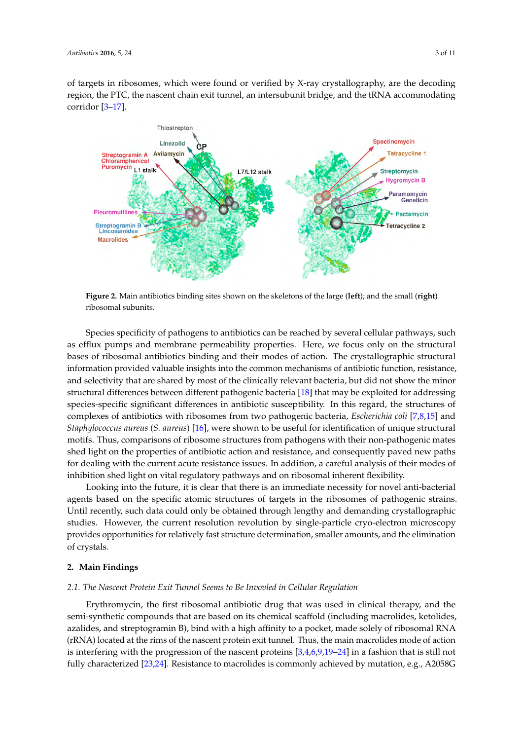of targets in ribosomes, which were found or verified by X-ray crystallography, are the decoding region, the PTC, the nascent chain exit tunnel, an intersubunit bridge, and the tRNA accommodating corridor  $[3-17]$ .

<span id="page-2-0"></span>

Figure 2. Main antibiotics binding sites shown on the skeletons of the large (left); and the small (right) ribosomal subunits. ribosomal subunits.

Species specificity of pathogens to antibiotics can be reached by several cellular pathways, such Species specificity of pathogens to antibiotics can be reached by several cellular pathways, such  $\epsilon$  efflux pumps and membrane permeability properties. Here, we focus only on the structural bases of  $\epsilon$ as efflux pumps and membrane permeability properties. Here, we focus only on the structural here  $\epsilon$  ribosomal antibiotics binding and their modes of action. The errotallographic structural information provided valuable insights into the common mechanisms of antibiotic function, information provided valuable insights into the common mechanisms of antibiotic function, resistance, and selectivity that are shared by most of the clinically relevant bacteria, but did not show the minor the minor structural differences between different pathogenic bacteria [18] that may be exploited for structural differences between different pathogenic bacteria [\[18\]](#page-8-4) that may be exploited for addressing addressing species-specific significant differences in antibiotic susceptibility. In this regard, the species-specific significant differences in antibiotic susceptibility. In this regard, the structures of structures of complexes of antibiotics with ribosomes from two pathogenic bacteria, *Escherichia coli* complexes of antibiotics with ribosomes from two pathogenic bacteria, *Escherichia coli* [\[7,](#page-8-5)[8,](#page-8-6)[15\]](#page-8-7) and Staphylococcus aureus (S. aureus) [\[16\]](#page-8-8), were shown to be useful for identification of unique structural structural motifs. Thus, comparisons of ribosome structures from pathogens with their non-motifs. Thus, comparisons of ribosome structures from pathogens with their non-pathogenic mates pathogenic mates shed light on the properties of antibiotic action and resistance, and consequently shed light on the properties of antibiotic action and resistance, and consequently paved new paths paved new paths for dealing with the current acute resistance issues. In addition, a careful analysis for dealing with the current acute resistance issues. In addition, a careful analysis of their modes of of their modes of the their modes of inhibition shed light on ribosomal regulatory pathways and on ribosomal in<br>Inherent develops and the construction of the same discussed in a sile case of the construction of the same in inhibition shed light on vital regulatory pathways and on ribosomal inherent flexibility.<br>In this claim in the fathers in the described them is an immediate acceptive for a small bases of ribosomal antibiotics binding and their modes of action. The crystallographic structural

Looking into the future, it is clear that there is an immediate necessity for novel anti-bacterial agents based on the specific atomic structures of targets in the ribosomes of pathogenic strains. agents based on the specific atomic structures of targets in the ribosomes of pathogenic strains. Until Until recently, such data could only be obtained through lengthy and demanding crystallographic studies. However, the current resolution revolution by single-particle cryo-electron microscopy  $\mu$  and  $\mu$  are very single-particle control to the current revolution  $\mu$  single-particle cryo-electron microscopy provides provides the characteristic control to the characteristic cryo-electron microscopy provides a provides opportunities for relatively fast structure determination, smaller amounts, and the elimination of entity of the elimination crystals. of crystals. Looking into the future, it is clear that there is an immediate necessity for novel anti-bacterial

#### **2. Main Findings 2. Main Findings**

### *2.1. The Nascent Protein Exit Tunnel Seems to Be Invovled in Cellular Regulation*

*2.1. The Nascent Protein Exit Tunnel Seems to Be Invovled in Cellular Regulation*  semi-synthetic compounds that are based on its chemical scaffold (including macrolides, ketolides, azalides, and streptogramin B), bind with a high affinity to a pocket, made solely of ribosomal RNA (rRNA) located at the rims of the nascent protein exit tunnel. Thus, the main macrolides mode of action is interfering wi[th](#page-8-9) the progression of the nascent proteins [\[3,](#page-8-2)4[,6](#page-8-10)[,9](#page-8-11)[,19–](#page-8-12)24] in a fashion that is still not fully characterized [\[23](#page-9-1)[,24\]](#page-9-0). Resistance to macrolides is commonly achieved by mutation, e.g., A2058G Erythromycin, the first ribosomal antibiotic drug that was used in clinical therapy, and the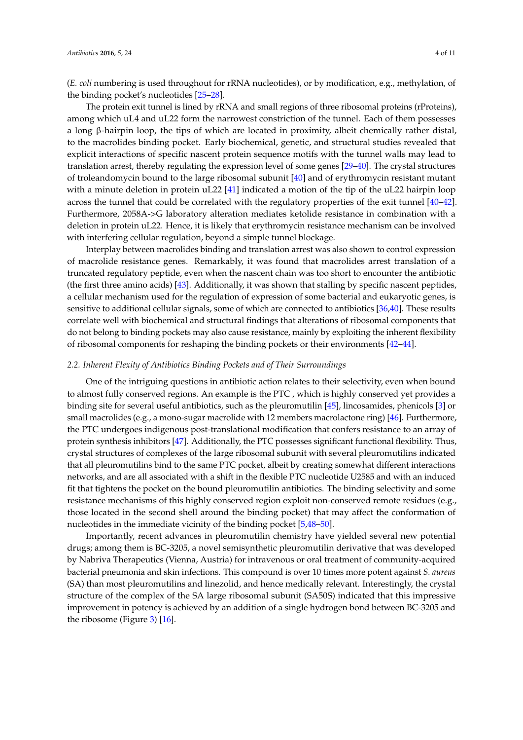(*E. coli* numbering is used throughout for rRNA nucleotides), or by modification, e.g., methylation, of the binding pocket's nucleotides [\[25](#page-9-2)[–28\]](#page-9-3).

The protein exit tunnel is lined by rRNA and small regions of three ribosomal proteins (rProteins), among which uL4 and uL22 form the narrowest constriction of the tunnel. Each of them possesses a long β-hairpin loop, the tips of which are located in proximity, albeit chemically rather distal, to the macrolides binding pocket. Early biochemical, genetic, and structural studies revealed that explicit interactions of specific nascent protein sequence motifs with the tunnel walls may lead to translation arrest, thereby regulating the expression level of some genes [\[29–](#page-9-4)[40\]](#page-9-5). The crystal structures of troleandomycin bound to the large ribosomal subunit [\[40\]](#page-9-5) and of erythromycin resistant mutant with a minute deletion in protein uL22 [\[41\]](#page-9-6) indicated a motion of the tip of the uL22 hairpin loop across the tunnel that could be correlated with the regulatory properties of the exit tunnel [\[40–](#page-9-5)[42\]](#page-10-0). Furthermore, 2058A->G laboratory alteration mediates ketolide resistance in combination with a deletion in protein uL22. Hence, it is likely that erythromycin resistance mechanism can be involved with interfering cellular regulation, beyond a simple tunnel blockage.

Interplay between macrolides binding and translation arrest was also shown to control expression of macrolide resistance genes. Remarkably, it was found that macrolides arrest translation of a truncated regulatory peptide, even when the nascent chain was too short to encounter the antibiotic (the first three amino acids) [\[43\]](#page-10-1). Additionally, it was shown that stalling by specific nascent peptides, a cellular mechanism used for the regulation of expression of some bacterial and eukaryotic genes, is sensitive to additional cellular signals, some of which are connected to antibiotics [\[36,](#page-9-7)[40\]](#page-9-5). These results correlate well with biochemical and structural findings that alterations of ribosomal components that do not belong to binding pockets may also cause resistance, mainly by exploiting the inherent flexibility of ribosomal components for reshaping the binding pockets or their environments [\[42](#page-10-0)[–44\]](#page-10-2).

## *2.2. Inherent Flexity of Antibiotics Binding Pockets and of Their Surroundings*

One of the intriguing questions in antibiotic action relates to their selectivity, even when bound to almost fully conserved regions. An example is the PTC , which is highly conserved yet provides a binding site for several useful antibiotics, such as the pleuromutilin [\[45\]](#page-10-3), lincosamides, phenicols [\[3\]](#page-8-2) or small macrolides (e.g., a mono-sugar macrolide with 12 members macrolactone ring) [\[46\]](#page-10-4). Furthermore, the PTC undergoes indigenous post-translational modification that confers resistance to an array of protein synthesis inhibitors [\[47\]](#page-10-5). Additionally, the PTC possesses significant functional flexibility. Thus, crystal structures of complexes of the large ribosomal subunit with several pleuromutilins indicated that all pleuromutilins bind to the same PTC pocket, albeit by creating somewhat different interactions networks, and are all associated with a shift in the flexible PTC nucleotide U2585 and with an induced fit that tightens the pocket on the bound pleuromutilin antibiotics. The binding selectivity and some resistance mechanisms of this highly conserved region exploit non-conserved remote residues (e.g., those located in the second shell around the binding pocket) that may affect the conformation of nucleotides in the immediate vicinity of the binding pocket [\[5](#page-8-13)[,48–](#page-10-6)[50\]](#page-10-7).

Importantly, recent advances in pleuromutilin chemistry have yielded several new potential drugs; among them is BC-3205, a novel semisynthetic pleuromutilin derivative that was developed by Nabriva Therapeutics (Vienna, Austria) for intravenous or oral treatment of community-acquired bacterial pneumonia and skin infections. This compound is over 10 times more potent against *S. aureus* (SA) than most pleuromutilins and linezolid, and hence medically relevant. Interestingly, the crystal structure of the complex of the SA large ribosomal subunit (SA50S) indicated that this impressive improvement in potency is achieved by an addition of a single hydrogen bond between BC-3205 and the ribosome (Figure [3\)](#page-4-0) [\[16\]](#page-8-8).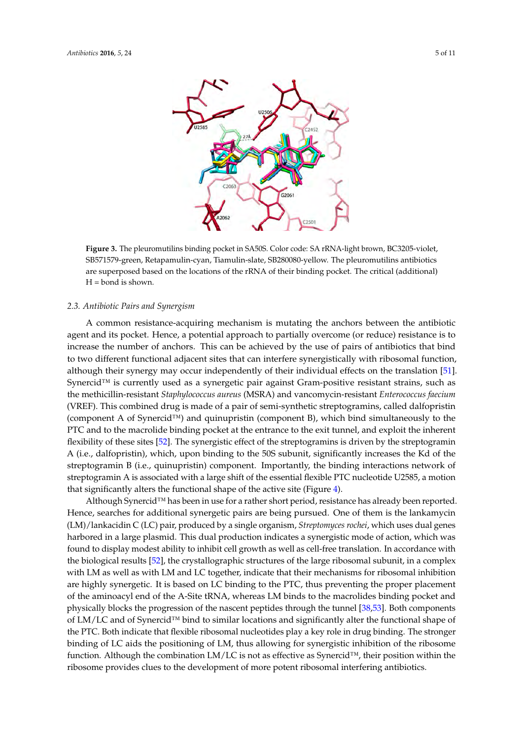<span id="page-4-0"></span>

**Figure 3.** The pleuromutilins binding pocket in SA50S. Color code: SA rRNA-light brown, BC3205- **Figure 3.** The pleuromutilins binding pocket in SA50S. Color code: SA rRNA-light brown, BC3205-violet, violet, SB571579-green, Retapamulin-cyan, Tiamulin-slate, SB280080-yellow. The pleuromutilins SB571579-green, Retapamulin-cyan, Tiamulin-slate, SB280080-yellow. The pleuromutilins antibiotics and  $\alpha$  are superposed based on the locations of the rRNA of the relations of the relations of the relations of the relations of the relations of the relations of the relations of the relations of the relations of the re are superposed based on the locations of the rRNA of their binding pocket. The critical (additional)<br>Hend is shown.  $H = bond$  is shown.

#### *2.3. Antibiotic Pairs and Synergism 2.3. Antibiotic Pairs and Synergism*

A common resistance-acquiring mechanism is mutating the anchors between the antibiotic agent A common resistance-acquiring mechanism is mutating the anchors between the antibiotic  $\mathbf{A}$ agent and its pocket. Hence, a potential approach to partially overcome (or reduce) resistance is to two different or  $\overline{\mathbf{r}}$ increase the number of anchors. This can be achieved by the use of pairs of antibiotics that bind<br>increase the number of anchors. This can be achieved by the use of pairs of antibiotics that bind to two different functional adjacent sites that can interfere synergistically with ribosomal function, is the translation is the translation of the translation of the translation of the translation of the translation of th although their synergy may occur independently of their individual effects on the translation [\[51\]](#page-10-8). Synercid™ is currently used as a synergetic pair against Gram-positive resistant strains, such as a synergetic pair against Gram-positive resistant strains, such as the methicillin-resistant *Staphylococcus aureus* (MSRA) and vancomycin-resistant *Enterococcus faecium*<br>COPEN FU (VREF). This combined drug is made of a pair of semi-synthetic streptogramins, called dalfopristin ( $\sim$ (component A of Synercid™) and quinupristin (component B), which bind simultaneously to the<br>
REC of the induction of the induction of the induction of the induction of the induction of the induction of the induction of th PTC and to the macrolide binding pocket at the entrance to the exit tunnel, and exploit the inherent  $\epsilon$ flexibility of these sites [\[52\]](#page-10-9). The synergistic effect of the streptogramins is driven by the streptogramin<br> $\frac{1}{2}$ . The synergistic effect of the streptogramins is driven by the streptogramin A (i.e., dalfopristin), which, upon binding to the 50S subunit, significantly increases the Kd of the 1.1 of the 60S subunit, significantly increases the Kd of the streptogramin B (i.e., quinupristin) component. Importantly, the binding interactions network of streptogramin A is associated with a large shift of the essential flexible PTC nucleotide U2585, a motion  $\frac{A}{A}$  in use for a rather shape of the active she (right  $\frac{A}{A}$ ). that significantly alters the functional shape of the active site (Figure [4\)](#page-5-0).

Although Synercid™ has been in use for a rather short period, resistance has already been reported.<br>Although Synercid™ has been in use for a rather short period, resistance has already been reported. Hence, searches for additional synergetic pairs are being pursued. One of them is the lankamycin<br>  $\mathcal{L}(\mathcal{L}, \mathcal{L})$ (LM)/lankacidin C (LC) pair, produced by a single organism, *Streptomyces rochei*, which uses dual genes in the organism of the organism of the organism of the organism of the organism of the organism of the organism of th harbored in a large plasmid. This dual production indicates a synergistic mode of action, which was controlled found to display modest ability to inhibit cell growth as well as cell-free translation. In accordance with  $\frac{1}{2}$ the biological results [\[52\]](#page-10-9), the crystallographic structures of the large ribosomal subunit, in a complex that the structures of the large ribosomal subunit, in a complex with LM as well as with LM and LC together, indicate that their mechanisms for ribosomal inhibition are highly synergetic. It is based on LC binding to the PTC, thus preventing the proper placement of the aminoacyl end of the A-Site tRNA, whereas LM binds to the macrolides binding pocket and the tunnel of the tunnel of the tunnel state and the tunnel of the tunnel of the tunnel of the tunnel of the tunnel of tunnel o physically blocks the progression of the nascent peptides through the tunnel [\[38](#page-9-8)[,53\]](#page-10-10). Both components progression of the nascent peptides through the tunnel [38,53]. Both components of LM/LC and of Synercid™ bind to similar locations and significantly alter the functional shape of  $\frac{1}{2}$ the PTC. Both indicate that flexible ribosomal nucleotides play a key role in drug binding. The stronger binding of LC aids the positioning of LM, thus allowing for synergistic inhibition of the ribosome function. Although the combination LM/LC is not as effective as Synercid™, their position within the ribosome provides clues to the development of more potent ribosomal interfering antibiotics.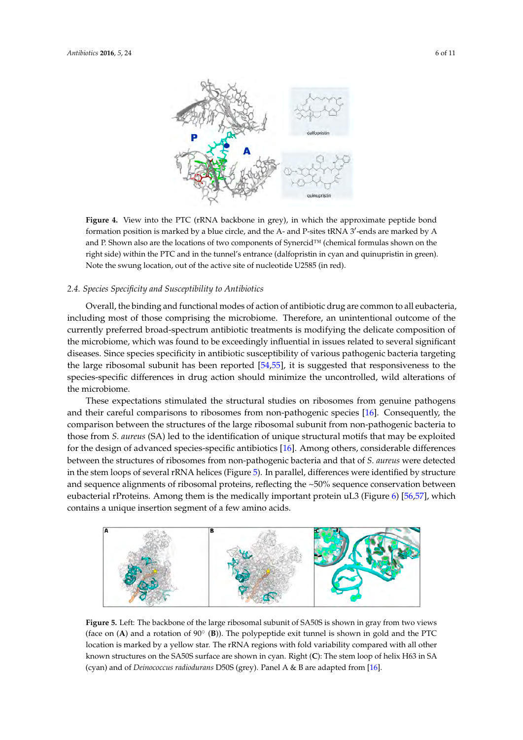<span id="page-5-0"></span>

**Figure 4.** View into the PTC (rRNA backbone in grey), in which the approximate peptide bond **Figure 4.** View into the PTC (rRNA backbone in grey), in which the approximate peptide bond formation position is matter by a blue control  $\frac{1}{2}$ formation position is marked by a blue circle, and the A- and P-sites tRNA 3'-ends are marked by A and P. Shown also are the locations of two components of Synercid™ (chemical formulas shown on the right side) within the PTC and in the tunnel's entrance (dalfopristin in cyan and quinupristin in green). Note the swung location, out of the active site of nucleotide U2585 (in red).

#### 2.4. Species Specificity and Susceptibility to Antibiotics green). Note the swung location, out of the active site of nucleotide U2585 (in red).

eubacteria, including most of those comprising the microbiome. Therefore, an unintentional outcome Overall, the binding and functional modes of action of antibiotic drug are common to all eubacteria, including most of those comprising the microbiome. Therefore, an unintentional outcome of the currently preferred broad-spectrum antibiotic treatments is modifying the delicate composition of the microbiome, which was found to be exceedingly influential in issues related to several significant diseases. Since species specificity in antibiotic susceptibility of various pathogenic bacteria targeting of the opened of the large ribosomal subunit has been reported [\[54](#page-10-11)[,55\]](#page-10-12), it is suggested that responsiveness to the species-specific differences in drug action should minimize the uncontrolled, wild alterations of comparison between the structures of the structures of the large ribosomal subunit from non-pathogenic bacteria to the large ribosomal subunit from non-pathogenic bacteria to the large ribosomal subunit from non-pathogenic the microbiome.  $t_{\rm s}$ 

These expectations stimulated the structural studies on ribosomes from genuine pathogens and their careful comparisons to ribosomes from non-pathogenic species [\[16\]](#page-8-8). Consequently, the between the structures of ribosomes from non-pathogenic bacteria and that of *S. aureus* were detected comparison between the structures of the large ribosomal subunit from non-pathogenic bacteria to those from S. aureus (SA) led to the identification of unique structural motifs that may be exploited for the design of advanced species-specific antibiotics [16]. Among others, considerable differences between the structures of ribosomes from non-pathogenic bacteria and that of S. aureus were detected in the stem loops of several rRNA helices (Figure [5\)](#page-5-1). In parallel, differences were identified by structure and sequence alignments of ribosomal proteins, reflecting the ~50% sequence conservation between eubacterial rProteins. Among them is the medically important protein uL3 (Figure [6\)](#page-6-0) [\[56,](#page-10-13)[57\]](#page-10-14), which contains a unique insertion segment of a few amino acids. which contains a unique insertion segment of a few amino acids. rical expectation between exploration removing them is the medically important protein uL3 (Figure 6) [56,57], we

<span id="page-5-1"></span>

**Figure 5.** Left: The backbone of the large ribosomal subunit of SA50S is shown in gray from two views **Figure 5.** Left: The backbone of the large ribosomal subunit of SA50S is shown in gray from two views  $(4)$  and a rotation of 90° (**B**)). The polypeptide exit tunnel is shown in gold and the PTCC and the PTCC and the PTCC and the PTCC and the PTCC and the PTCC and the PTCC and the PTCCC and the PTCCCCCCCCCCCCCCCCCCCCCCCCC (face on (**A**) and a rotation of 90 $^{\circ}$  (**B**)). The polypeptide exit tunnel is shown in gold and the PTC location is marked by a yellow star. The r $\text{RNA}$  regions with fold variability compared with all other known structures on the SA50S surface are shown in cyan. Right <mark>(C</mark>): The stem loop of helix H63 in SA (cyan) and of *Deinococcus radiodurans* D50S (grey). Panel A & B are adapted from [\[16\]](#page-8-8).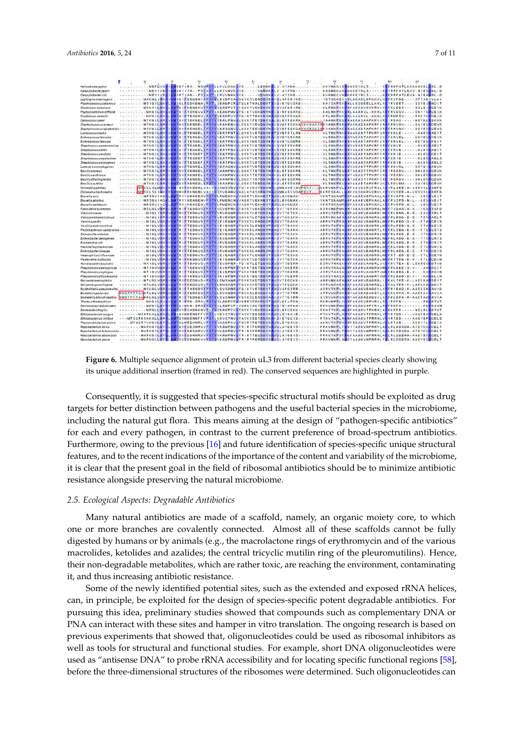<span id="page-6-0"></span>

**Figure 6.** Multiple sequence alignment of protein uL3 from different bacterial species clearly showing **Figure 6.** Multiple sequence alignment of protein uL3 from different bacterial species clearly showing its unique additional insertion (framed in red). The conserved sequences are highlighted in purple. its unique additional insertion (framed in red). The conserved sequences are highlighted in purple.

Consequently, it is suggested that species-specific structural motifs should be exploited as drug Consequently, it is suggested that species-specific structural motifs should be exploited as drug<br>targets for better distinction between pathogens and the useful bacterial species in the microbiome, including the natural gut flora. This means aiming at the design of "pathogen-specific antibiotics" for each and every pathogen, in contrast to the current preference of broad-spectrum antibiotics. Furthermore, owing to the previous [16] and future identification of species-specific unique structural Furthermore, owing to the previous [\[16\]](#page-8-8) and future identification of species-specific unique structural<br>features, and to the recent indications of the importance of the content and variability of the microbiome, it is clear that the present goal in the field of ribosomal antibiotics should be to minimize antibiotic<br>resistance alongside preserving the natural microbiome. resistance alongside preserving the natural microbiome.

# *2.5. Ecological Aspects: Degradable Antibiotics 2.5. Ecological Aspects: Degradable Antibiotics*

Many natural antibiotics are made of a scaffold, namely, an organic moiety core, to which one or more branches are covalently connected. Almost all of these scaffolds cannot be fully digested by humans or by animals (e.g., the macrolactone rings of erythromycin and of the various macrolides, ketolides and azalides; the central tricyclic mutilin ring of the pleuromutilins). Hence, their non-degradable metabolites, which are rather toxic, are reaching the environment, contaminating it, and thus increasing antibiotic resistance.

Some of the newly identified potential sites, such as the extended and exposed rRNA helices, Some of the newly identified potential sites, such as the extended and exposed rRNA helices, can, in principle, be exploited for the design of species-specific potent degradable antibiotics. For can, in principle, be exploited for the design of species-specific potent degradable antibiotics. For pursuing this idea, preliminary studies showed that compounds such as complementary DNA or pursuing this idea, preliminary studies showed that compounds such as complementary DNA or PNA can interact with these sites and hamper in vitro translation. The ongoing research is based on PNA can interact with these sites and hamper in vitro translation. The ongoing research is based on previous experiments that showed that, oligonucleotides could be used as ribosomal inhibitors as previous experiments that showed that, oligonucleotides could be used as ribosomal inhibitors as well as tools for structural and functional studies. For example, short DNA oligonucleotides were well as tools for structural and functional studies. For example, short DNA oligonucleotides were used as "antisense DNA" to probe rRNA accessibility and for locating specific functional regions [58], used as "antisense DNA" to probe rRNA accessibility and for locating specific functional regions [\[58\]](#page-10-15), before the three-dimensional structures of the ribosomes were determined. Such oligonucleotides can before the three-dimensional structures of the ribosomes were determined. Such oligonucleotides can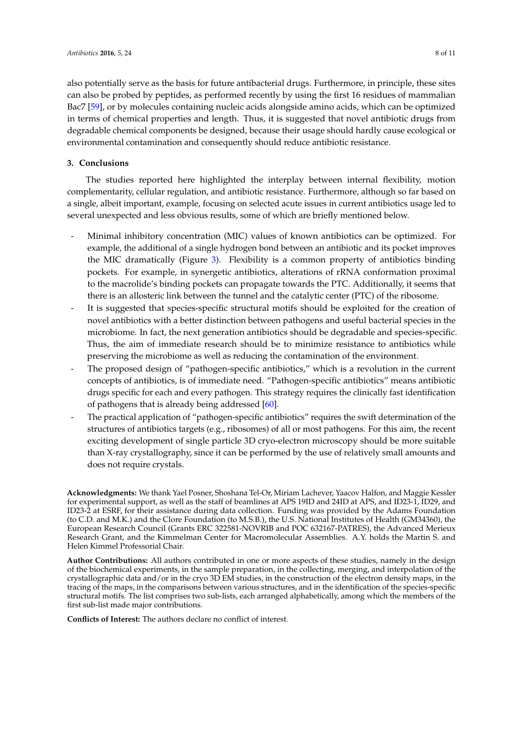also potentially serve as the basis for future antibacterial drugs. Furthermore, in principle, these sites can also be probed by peptides, as performed recently by using the first 16 residues of mammalian Bac7 [\[59\]](#page-10-16), or by molecules containing nucleic acids alongside amino acids, which can be optimized in terms of chemical properties and length. Thus, it is suggested that novel antibiotic drugs from degradable chemical components be designed, because their usage should hardly cause ecological or environmental contamination and consequently should reduce antibiotic resistance.

# **3. Conclusions**

The studies reported here highlighted the interplay between internal flexibility, motion complementarity, cellular regulation, and antibiotic resistance. Furthermore, although so far based on a single, albeit important, example, focusing on selected acute issues in current antibiotics usage led to several unexpected and less obvious results, some of which are briefly mentioned below.

- Minimal inhibitory concentration (MIC) values of known antibiotics can be optimized. For example, the additional of a single hydrogen bond between an antibiotic and its pocket improves the MIC dramatically (Figure [3\)](#page-4-0). Flexibility is a common property of antibiotics binding pockets. For example, in synergetic antibiotics, alterations of rRNA conformation proximal to the macrolide's binding pockets can propagate towards the PTC. Additionally, it seems that there is an allosteric link between the tunnel and the catalytic center (PTC) of the ribosome.
- It is suggested that species-specific structural motifs should be exploited for the creation of novel antibiotics with a better distinction between pathogens and useful bacterial species in the microbiome. In fact, the next generation antibiotics should be degradable and species-specific. Thus, the aim of immediate research should be to minimize resistance to antibiotics while preserving the microbiome as well as reducing the contamination of the environment.
- The proposed design of "pathogen-specific antibiotics," which is a revolution in the current concepts of antibiotics, is of immediate need. "Pathogen-specific antibiotics" means antibiotic drugs specific for each and every pathogen. This strategy requires the clinically fast identification of pathogens that is already being addressed [\[60\]](#page-10-17).
- The practical application of "pathogen-specific antibiotics" requires the swift determination of the structures of antibiotics targets (e.g., ribosomes) of all or most pathogens. For this aim, the recent exciting development of single particle 3D cryo-electron microscopy should be more suitable than X-ray crystallography, since it can be performed by the use of relatively small amounts and does not require crystals.

**Acknowledgments:** We thank Yael Posner, Shoshana Tel-Or, Miriam Lachever, Yaacov Halfon, and Maggie Kessler for experimental support, as well as the staff of beamlines at APS 19ID and 24ID at APS, and ID23-1, ID29, and ID23-2 at ESRF, for their assistance during data collection. Funding was provided by the Adams Foundation (to C.D. and M.K.) and the Clore Foundation (to M.S.B.), the U.S. National Institutes of Health (GM34360), the European Research Council (Grants ERC 322581-NOVRIB and POC 632167-PATRES), the Advanced Merieux Research Grant, and the Kimmelman Center for Macromolecular Assemblies. A.Y. holds the Martin S. and Helen Kimmel Professorial Chair.

**Author Contributions:** All authors contributed in one or more aspects of these studies, namely in the design of the biochemical experiments, in the sample preparation, in the collecting, merging, and interpolation of the crystallographic data and/or in the cryo 3D EM studies, in the construction of the electron density maps, in the tracing of the maps, in the comparisons between various structures, and in the identification of the species-specific structural motifs. The list comprises two sub-lists, each arranged alphabetically, among which the members of the first sub-list made major contributions.

**Conflicts of Interest:** The authors declare no conflict of interest.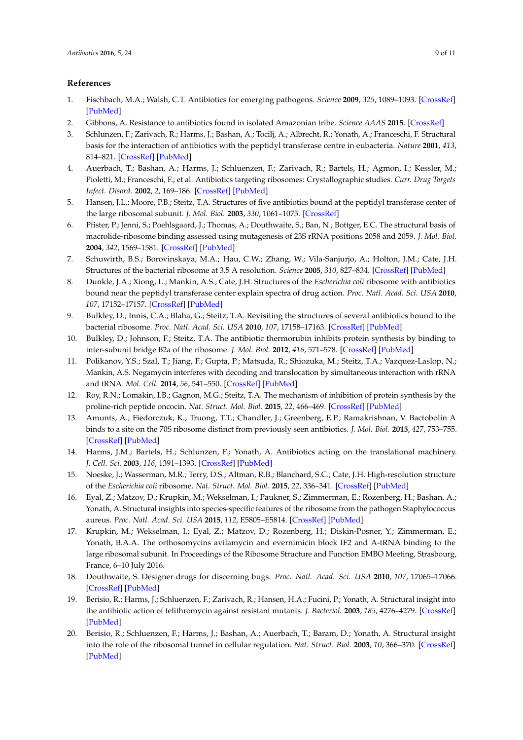# **References**

- <span id="page-8-0"></span>1. Fischbach, M.A.; Walsh, C.T. Antibiotics for emerging pathogens. *Science* **2009**, *325*, 1089–1093. [\[CrossRef\]](http://dx.doi.org/10.1126/science.1176667) [\[PubMed\]](http://www.ncbi.nlm.nih.gov/pubmed/19713519)
- <span id="page-8-1"></span>2. Gibbons, A. Resistance to antibiotics found in isolated Amazonian tribe. *Science AAAS* **2015**. [\[CrossRef\]](http://dx.doi.org/10.1126/science.aab2509)
- <span id="page-8-2"></span>3. Schlunzen, F.; Zarivach, R.; Harms, J.; Bashan, A.; Tocilj, A.; Albrecht, R.; Yonath, A.; Franceschi, F. Structural basis for the interaction of antibiotics with the peptidyl transferase centre in eubacteria. *Nature* **2001**, *413*, 814–821. [\[CrossRef\]](http://dx.doi.org/10.1038/35101544) [\[PubMed\]](http://www.ncbi.nlm.nih.gov/pubmed/11677599)
- <span id="page-8-9"></span>4. Auerbach, T.; Bashan, A.; Harms, J.; Schluenzen, F.; Zarivach, R.; Bartels, H.; Agmon, I.; Kessler, M.; Pioletti, M.; Franceschi, F.; et al. Antibiotics targeting ribosomes: Crystallographic studies. *Curr. Drug Targets Infect. Disord.* **2002**, *2*, 169–186. [\[CrossRef\]](http://dx.doi.org/10.2174/1568005023342506) [\[PubMed\]](http://www.ncbi.nlm.nih.gov/pubmed/12462147)
- <span id="page-8-13"></span>5. Hansen, J.L.; Moore, P.B.; Steitz, T.A. Structures of five antibiotics bound at the peptidyl transferase center of the large ribosomal subunit. *J. Mol. Biol.* **2003**, *330*, 1061–1075. [\[CrossRef\]](http://dx.doi.org/10.1016/S0022-2836(03)00668-5)
- <span id="page-8-10"></span>6. Pfister, P.; Jenni, S.; Poehlsgaard, J.; Thomas, A.; Douthwaite, S.; Ban, N.; Bottger, E.C. The structural basis of macrolide-ribosome binding assessed using mutagenesis of 23S rRNA positions 2058 and 2059. *J. Mol. Biol.* **2004**, *342*, 1569–1581. [\[CrossRef\]](http://dx.doi.org/10.1016/j.jmb.2004.07.095) [\[PubMed\]](http://www.ncbi.nlm.nih.gov/pubmed/15364582)
- <span id="page-8-5"></span>7. Schuwirth, B.S.; Borovinskaya, M.A.; Hau, C.W.; Zhang, W.; Vila-Sanjurjo, A.; Holton, J.M.; Cate, J.H. Structures of the bacterial ribosome at 3.5 A resolution. *Science* **2005**, *310*, 827–834. [\[CrossRef\]](http://dx.doi.org/10.1126/science.1117230) [\[PubMed\]](http://www.ncbi.nlm.nih.gov/pubmed/16272117)
- <span id="page-8-6"></span>8. Dunkle, J.A.; Xiong, L.; Mankin, A.S.; Cate, J.H. Structures of the *Escherichia coli* ribosome with antibiotics bound near the peptidyl transferase center explain spectra of drug action. *Proc. Natl. Acad. Sci. USA* **2010**, *107*, 17152–17157. [\[CrossRef\]](http://dx.doi.org/10.1073/pnas.1007988107) [\[PubMed\]](http://www.ncbi.nlm.nih.gov/pubmed/20876128)
- <span id="page-8-11"></span>9. Bulkley, D.; Innis, C.A.; Blaha, G.; Steitz, T.A. Revisiting the structures of several antibiotics bound to the bacterial ribosome. *Proc. Natl. Acad. Sci. USA* **2010**, *107*, 17158–17163. [\[CrossRef\]](http://dx.doi.org/10.1073/pnas.1008685107) [\[PubMed\]](http://www.ncbi.nlm.nih.gov/pubmed/20876130)
- 10. Bulkley, D.; Johnson, F.; Steitz, T.A. The antibiotic thermorubin inhibits protein synthesis by binding to inter-subunit bridge B2a of the ribosome. *J. Mol. Biol.* **2012**, *416*, 571–578. [\[CrossRef\]](http://dx.doi.org/10.1016/j.jmb.2011.12.055) [\[PubMed\]](http://www.ncbi.nlm.nih.gov/pubmed/22240456)
- 11. Polikanov, Y.S.; Szal, T.; Jiang, F.; Gupta, P.; Matsuda, R.; Shiozuka, M.; Steitz, T.A.; Vazquez-Laslop, N.; Mankin, A.S. Negamycin interferes with decoding and translocation by simultaneous interaction with rRNA and tRNA. *Mol. Cell.* **2014**, *56*, 541–550. [\[CrossRef\]](http://dx.doi.org/10.1016/j.molcel.2014.09.021) [\[PubMed\]](http://www.ncbi.nlm.nih.gov/pubmed/25306922)
- 12. Roy, R.N.; Lomakin, I.B.; Gagnon, M.G.; Steitz, T.A. The mechanism of inhibition of protein synthesis by the proline-rich peptide oncocin. *Nat. Struct. Mol. Biol.* **2015**, *22*, 466–469. [\[CrossRef\]](http://dx.doi.org/10.1038/nsmb.3031) [\[PubMed\]](http://www.ncbi.nlm.nih.gov/pubmed/25984972)
- 13. Amunts, A.; Fiedorczuk, K.; Truong, T.T.; Chandler, J.; Greenberg, E.P.; Ramakrishnan, V. Bactobolin A binds to a site on the 70S ribosome distinct from previously seen antibiotics. *J. Mol. Biol.* **2015**, *427*, 753–755. [\[CrossRef\]](http://dx.doi.org/10.1016/j.jmb.2014.12.018) [\[PubMed\]](http://www.ncbi.nlm.nih.gov/pubmed/25562208)
- 14. Harms, J.M.; Bartels, H.; Schlunzen, F.; Yonath, A. Antibiotics acting on the translational machinery. *J. Cell. Sci.* **2003**, *116*, 1391–1393. [\[CrossRef\]](http://dx.doi.org/10.1242/jcs.00365) [\[PubMed\]](http://www.ncbi.nlm.nih.gov/pubmed/12640024)
- <span id="page-8-7"></span>15. Noeske, J.; Wasserman, M.R.; Terry, D.S.; Altman, R.B.; Blanchard, S.C.; Cate, J.H. High-resolution structure of the *Escherichia coli* ribosome. *Nat. Struct. Mol. Biol.* **2015**, *22*, 336–341. [\[CrossRef\]](http://dx.doi.org/10.1038/nsmb.2994) [\[PubMed\]](http://www.ncbi.nlm.nih.gov/pubmed/25775265)
- <span id="page-8-8"></span>16. Eyal, Z.; Matzov, D.; Krupkin, M.; Wekselman, I.; Paukner, S.; Zimmerman, E.; Rozenberg, H.; Bashan, A.; Yonath, A. Structural insights into species-specific features of the ribosome from the pathogen Staphylococcus aureus. *Proc. Natl. Acad. Sci. USA* **2015**, *112*, E5805–E5814. [\[CrossRef\]](http://dx.doi.org/10.1073/pnas.1517952112) [\[PubMed\]](http://www.ncbi.nlm.nih.gov/pubmed/26464510)
- <span id="page-8-3"></span>17. Krupkin, M.; Wekselman, I.; Eyal, Z.; Matzov, D.; Rozenberg, H.; Diskin-Posner, Y.; Zimmerman, E.; Yonath, B.A.A. The orthosomycins avilamycin and evernimicin block IF2 and A-tRNA binding to the large ribosomal subunit. In Proceedings of the Ribosome Structure and Function EMBO Meeting, Strasbourg, France, 6–10 July 2016.
- <span id="page-8-4"></span>18. Douthwaite, S. Designer drugs for discerning bugs. *Proc. Natl. Acad. Sci. USA* **2010**, *107*, 17065–17066. [\[CrossRef\]](http://dx.doi.org/10.1073/pnas.1012547107) [\[PubMed\]](http://www.ncbi.nlm.nih.gov/pubmed/20876111)
- <span id="page-8-12"></span>19. Berisio, R.; Harms, J.; Schluenzen, F.; Zarivach, R.; Hansen, H.A.; Fucini, P.; Yonath, A. Structural insight into the antibiotic action of telithromycin against resistant mutants. *J. Bacteriol.* **2003**, *185*, 4276–4279. [\[CrossRef\]](http://dx.doi.org/10.1128/JB.185.14.4276-4279.2003) [\[PubMed\]](http://www.ncbi.nlm.nih.gov/pubmed/12837804)
- 20. Berisio, R.; Schluenzen, F.; Harms, J.; Bashan, A.; Auerbach, T.; Baram, D.; Yonath, A. Structural insight into the role of the ribosomal tunnel in cellular regulation. *Nat. Struct. Biol.* **2003**, *10*, 366–370. [\[CrossRef\]](http://dx.doi.org/10.1038/nsb915) [\[PubMed\]](http://www.ncbi.nlm.nih.gov/pubmed/12665853)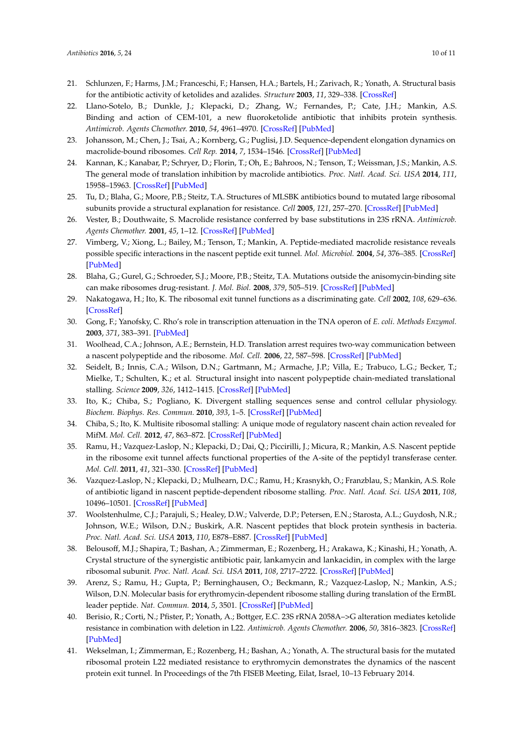- 21. Schlunzen, F.; Harms, J.M.; Franceschi, F.; Hansen, H.A.; Bartels, H.; Zarivach, R.; Yonath, A. Structural basis for the antibiotic activity of ketolides and azalides. *Structure* **2003**, *11*, 329–338. [\[CrossRef\]](http://dx.doi.org/10.1016/S0969-2126(03)00022-4)
- 22. Llano-Sotelo, B.; Dunkle, J.; Klepacki, D.; Zhang, W.; Fernandes, P.; Cate, J.H.; Mankin, A.S. Binding and action of CEM-101, a new fluoroketolide antibiotic that inhibits protein synthesis. *Antimicrob. Agents Chemother.* **2010**, *54*, 4961–4970. [\[CrossRef\]](http://dx.doi.org/10.1128/AAC.00860-10) [\[PubMed\]](http://www.ncbi.nlm.nih.gov/pubmed/20855725)
- <span id="page-9-1"></span>23. Johansson, M.; Chen, J.; Tsai, A.; Kornberg, G.; Puglisi, J.D. Sequence-dependent elongation dynamics on macrolide-bound ribosomes. *Cell Rep.* **2014**, *7*, 1534–1546. [\[CrossRef\]](http://dx.doi.org/10.1016/j.celrep.2014.04.034) [\[PubMed\]](http://www.ncbi.nlm.nih.gov/pubmed/24836000)
- <span id="page-9-0"></span>24. Kannan, K.; Kanabar, P.; Schryer, D.; Florin, T.; Oh, E.; Bahroos, N.; Tenson, T.; Weissman, J.S.; Mankin, A.S. The general mode of translation inhibition by macrolide antibiotics. *Proc. Natl. Acad. Sci. USA* **2014**, *111*, 15958–15963. [\[CrossRef\]](http://dx.doi.org/10.1073/pnas.1417334111) [\[PubMed\]](http://www.ncbi.nlm.nih.gov/pubmed/25349425)
- <span id="page-9-2"></span>25. Tu, D.; Blaha, G.; Moore, P.B.; Steitz, T.A. Structures of MLSBK antibiotics bound to mutated large ribosomal subunits provide a structural explanation for resistance. *Cell* **2005**, *121*, 257–270. [\[CrossRef\]](http://dx.doi.org/10.1016/j.cell.2005.02.005) [\[PubMed\]](http://www.ncbi.nlm.nih.gov/pubmed/15851032)
- 26. Vester, B.; Douthwaite, S. Macrolide resistance conferred by base substitutions in 23S rRNA. *Antimicrob. Agents Chemother.* **2001**, *45*, 1–12. [\[CrossRef\]](http://dx.doi.org/10.1128/AAC.45.1.1-12.2001) [\[PubMed\]](http://www.ncbi.nlm.nih.gov/pubmed/11120937)
- 27. Vimberg, V.; Xiong, L.; Bailey, M.; Tenson, T.; Mankin, A. Peptide-mediated macrolide resistance reveals possible specific interactions in the nascent peptide exit tunnel. *Mol. Microbiol.* **2004**, *54*, 376–385. [\[CrossRef\]](http://dx.doi.org/10.1111/j.1365-2958.2004.04290.x) [\[PubMed\]](http://www.ncbi.nlm.nih.gov/pubmed/15469510)
- <span id="page-9-3"></span>28. Blaha, G.; Gurel, G.; Schroeder, S.J.; Moore, P.B.; Steitz, T.A. Mutations outside the anisomycin-binding site can make ribosomes drug-resistant. *J. Mol. Biol.* **2008**, *379*, 505–519. [\[CrossRef\]](http://dx.doi.org/10.1016/j.jmb.2008.03.075) [\[PubMed\]](http://www.ncbi.nlm.nih.gov/pubmed/18455733)
- <span id="page-9-4"></span>29. Nakatogawa, H.; Ito, K. The ribosomal exit tunnel functions as a discriminating gate. *Cell* **2002**, *108*, 629–636. [\[CrossRef\]](http://dx.doi.org/10.1016/S0092-8674(02)00649-9)
- 30. Gong, F.; Yanofsky, C. Rho's role in transcription attenuation in the TNA operon of *E. coli*. *Methods Enzymol.* **2003**, *371*, 383–391. [\[PubMed\]](http://www.ncbi.nlm.nih.gov/pubmed/14712716)
- 31. Woolhead, C.A.; Johnson, A.E.; Bernstein, H.D. Translation arrest requires two-way communication between a nascent polypeptide and the ribosome. *Mol. Cell.* **2006**, *22*, 587–598. [\[CrossRef\]](http://dx.doi.org/10.1016/j.molcel.2006.05.021) [\[PubMed\]](http://www.ncbi.nlm.nih.gov/pubmed/16762832)
- 32. Seidelt, B.; Innis, C.A.; Wilson, D.N.; Gartmann, M.; Armache, J.P.; Villa, E.; Trabuco, L.G.; Becker, T.; Mielke, T.; Schulten, K.; et al. Structural insight into nascent polypeptide chain-mediated translational stalling. *Science* **2009**, *326*, 1412–1415. [\[CrossRef\]](http://dx.doi.org/10.1126/science.1177662) [\[PubMed\]](http://www.ncbi.nlm.nih.gov/pubmed/19933110)
- 33. Ito, K.; Chiba, S.; Pogliano, K. Divergent stalling sequences sense and control cellular physiology. *Biochem. Biophys. Res. Commun.* **2010**, *393*, 1–5. [\[CrossRef\]](http://dx.doi.org/10.1016/j.bbrc.2010.01.073) [\[PubMed\]](http://www.ncbi.nlm.nih.gov/pubmed/20117091)
- 34. Chiba, S.; Ito, K. Multisite ribosomal stalling: A unique mode of regulatory nascent chain action revealed for MifM. *Mol. Cell.* **2012**, *47*, 863–872. [\[CrossRef\]](http://dx.doi.org/10.1016/j.molcel.2012.06.034) [\[PubMed\]](http://www.ncbi.nlm.nih.gov/pubmed/22864117)
- 35. Ramu, H.; Vazquez-Laslop, N.; Klepacki, D.; Dai, Q.; Piccirilli, J.; Micura, R.; Mankin, A.S. Nascent peptide in the ribosome exit tunnel affects functional properties of the A-site of the peptidyl transferase center. *Mol. Cell.* **2011**, *41*, 321–330. [\[CrossRef\]](http://dx.doi.org/10.1016/j.molcel.2010.12.031) [\[PubMed\]](http://www.ncbi.nlm.nih.gov/pubmed/21292164)
- <span id="page-9-7"></span>36. Vazquez-Laslop, N.; Klepacki, D.; Mulhearn, D.C.; Ramu, H.; Krasnykh, O.; Franzblau, S.; Mankin, A.S. Role of antibiotic ligand in nascent peptide-dependent ribosome stalling. *Proc. Natl. Acad. Sci. USA* **2011**, *108*, 10496–10501. [\[CrossRef\]](http://dx.doi.org/10.1073/pnas.1103474108) [\[PubMed\]](http://www.ncbi.nlm.nih.gov/pubmed/21670252)
- 37. Woolstenhulme, C.J.; Parajuli, S.; Healey, D.W.; Valverde, D.P.; Petersen, E.N.; Starosta, A.L.; Guydosh, N.R.; Johnson, W.E.; Wilson, D.N.; Buskirk, A.R. Nascent peptides that block protein synthesis in bacteria. *Proc. Natl. Acad. Sci. USA* **2013**, *110*, E878–E887. [\[CrossRef\]](http://dx.doi.org/10.1073/pnas.1219536110) [\[PubMed\]](http://www.ncbi.nlm.nih.gov/pubmed/23431150)
- <span id="page-9-8"></span>38. Belousoff, M.J.; Shapira, T.; Bashan, A.; Zimmerman, E.; Rozenberg, H.; Arakawa, K.; Kinashi, H.; Yonath, A. Crystal structure of the synergistic antibiotic pair, lankamycin and lankacidin, in complex with the large ribosomal subunit. *Proc. Natl. Acad. Sci. USA* **2011**, *108*, 2717–2722. [\[CrossRef\]](http://dx.doi.org/10.1073/pnas.1019406108) [\[PubMed\]](http://www.ncbi.nlm.nih.gov/pubmed/21282615)
- 39. Arenz, S.; Ramu, H.; Gupta, P.; Berninghausen, O.; Beckmann, R.; Vazquez-Laslop, N.; Mankin, A.S.; Wilson, D.N. Molecular basis for erythromycin-dependent ribosome stalling during translation of the ErmBL leader peptide. *Nat. Commun.* **2014**, *5*, 3501. [\[CrossRef\]](http://dx.doi.org/10.1038/ncomms4501) [\[PubMed\]](http://www.ncbi.nlm.nih.gov/pubmed/24662426)
- <span id="page-9-5"></span>40. Berisio, R.; Corti, N.; Pfister, P.; Yonath, A.; Bottger, E.C. 23S rRNA 2058A–>G alteration mediates ketolide resistance in combination with deletion in L22. *Antimicrob. Agents Chemother.* **2006**, *50*, 3816–3823. [\[CrossRef\]](http://dx.doi.org/10.1128/AAC.00767-06) [\[PubMed\]](http://www.ncbi.nlm.nih.gov/pubmed/16923950)
- <span id="page-9-6"></span>41. Wekselman, I.; Zimmerman, E.; Rozenberg, H.; Bashan, A.; Yonath, A. The structural basis for the mutated ribosomal protein L22 mediated resistance to erythromycin demonstrates the dynamics of the nascent protein exit tunnel. In Proceedings of the 7th FISEB Meeting, Eilat, Israel, 10–13 February 2014.